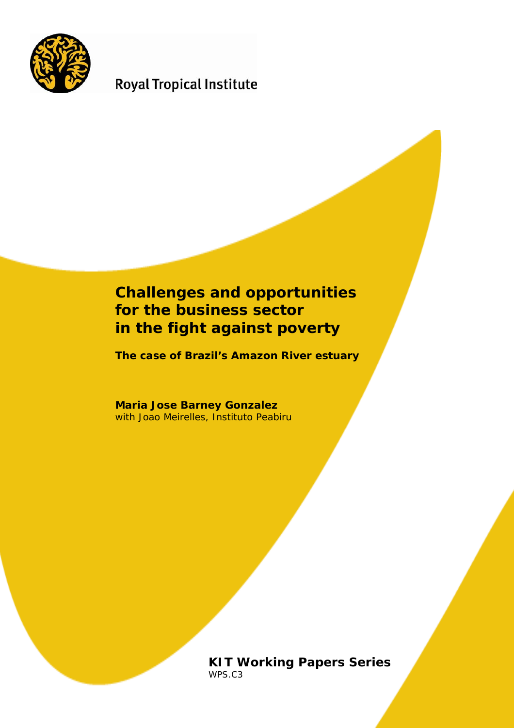

# **Royal Tropical Institute**

# **Challenges and opportunities for the business sector in the fight against poverty**

**The case of Brazil's Amazon River estuary** 

**Maria Jose Barney Gonzalez**  with Joao Meirelles, Instituto Peabiru

> **KIT Working Papers Series**  WPS.C3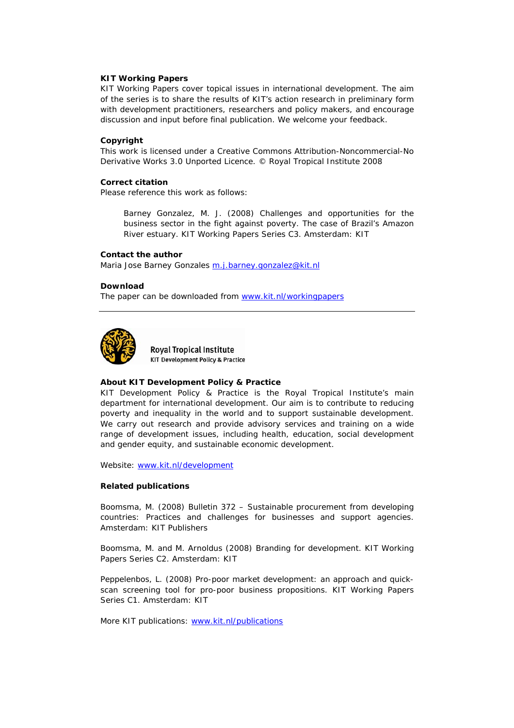#### **KIT Working Papers**

KIT Working Papers cover topical issues in international development. The aim of the series is to share the results of KIT's action research in preliminary form with development practitioners, researchers and policy makers, and encourage discussion and input before final publication. We welcome your feedback.

#### **Copyright**

This work is licensed under a Creative Commons Attribution-Noncommercial-No Derivative Works 3.0 Unported Licence. © Royal Tropical Institute 2008

#### **Correct citation**

Please reference this work as follows:

Barney Gonzalez, M. J. (2008) *Challenges and opportunities for the business sector in the fight against poverty. The case of Brazil's Amazon River estuary.* KIT Working Papers Series C3. Amsterdam: KIT

#### **Contact the author**

Maria Jose Barney Gonzales [m.j.barney.gonzalez@kit.nl](mailto:m.j.barney.gonzalez@kit.nl)

#### **Download**

The paper can be downloaded from [www.kit.nl/workingpapers](http://www.kit.nl/workingpapers)



**Roval Tropical Institute KIT Development Policy & Practice** 

#### **About KIT Development Policy & Practice**

KIT Development Policy & Practice is the Royal Tropical Institute's main department for international development. Our aim is to contribute to reducing poverty and inequality in the world and to support sustainable development. We carry out research and provide advisory services and training on a wide range of development issues, including health, education, social development and gender equity, and sustainable economic development.

Website: [www.kit.nl/development](http://www.kit.nl/development)

#### **Related publications**

Boomsma, M. (2008) Bulletin 372 – *Sustainable procurement from developing countries: Practices and challenges for businesses and support agencies*. Amsterdam: KIT Publishers

Boomsma, M. and M. Arnoldus (2008) *Branding for development*. KIT Working Papers Series C2. Amsterdam: KIT

Peppelenbos, L. (2008) *Pro-poor market development: an approach and quickscan screening tool for pro-poor business propositions*. KIT Working Papers Series C1. Amsterdam: KIT

More KIT publications: [www.kit.nl/publications](http://www.kit.nl/publications)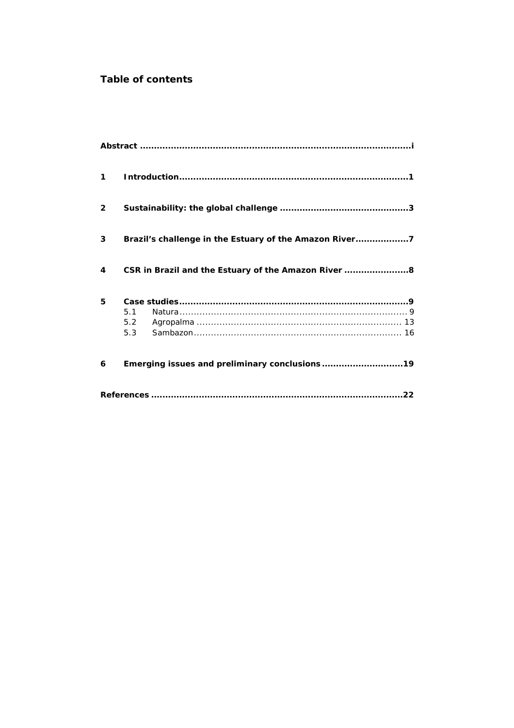# **Table of contents**

| 1            |                                                        |  |  |  |
|--------------|--------------------------------------------------------|--|--|--|
| $\mathbf{2}$ |                                                        |  |  |  |
| 3            | Brazil's challenge in the Estuary of the Amazon River7 |  |  |  |
| 4            | CSR in Brazil and the Estuary of the Amazon River  8   |  |  |  |
| 5            |                                                        |  |  |  |
|              | 5.1                                                    |  |  |  |
|              | 5.2                                                    |  |  |  |
|              | 5.3                                                    |  |  |  |
| 6            | Emerging issues and preliminary conclusions19          |  |  |  |
|              |                                                        |  |  |  |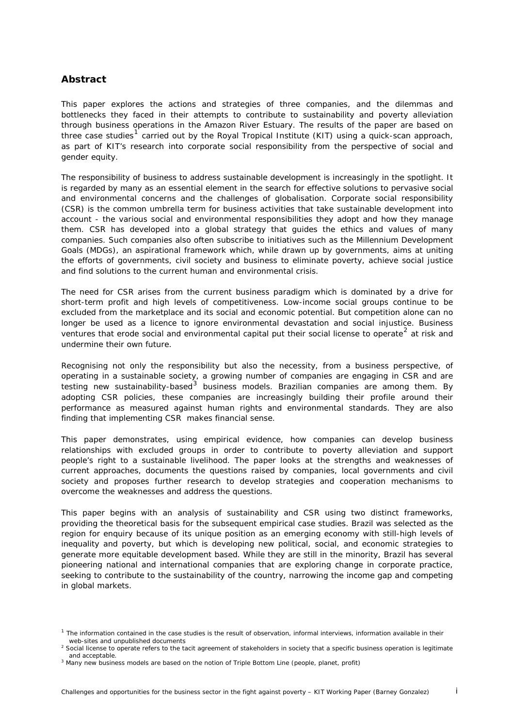## <span id="page-4-0"></span>**Abstract**

This paper explores the actions and strategies of three companies, and the dilemmas and bottlenecks they faced in their attempts to contribute to sustainability and poverty alleviation through business operations in the Amazon River Estuary. The results of the paper are based on three case studies<sup>[1](#page-4-1)</sup> carried out by the Royal Tropical Institute (KIT) using a quick-scan approach, as part of KIT's research into corporate social responsibility from the perspective of social and gender equity.

The responsibility of business to address sustainable development is increasingly in the spotlight. It is regarded by many as an essential element in the search for effective solutions to pervasive social and environmental concerns and the challenges of globalisation. Corporate social responsibility (CSR) is the common umbrella term for business activities that take sustainable development into account - the various social and environmental responsibilities they adopt and how they manage them. CSR has developed into a global strategy that guides the ethics and values of many companies. Such companies also often subscribe to initiatives such as the Millennium Development Goals (MDGs), an aspirational framework which, while drawn up by governments, aims at uniting the efforts of governments, civil society and business to eliminate poverty, achieve social justice and find solutions to the current human and environmental crisis.

The need for CSR arises from the current business paradigm which is dominated by a drive for short-term profit and high levels of competitiveness. Low-income social groups continue to be excluded from the marketplace and its social and economic potential. But competition alone can no longer be used as a licence to ignore environmental devastation and social injustice. Business ventures that erode social and environmental capital put their social license to operate*[2](#page-4-2)* at risk and undermine their own future.

Recognising not only the responsibility but also the necessity, from a business perspective, of operating in a sustainable society, a growing number of companies are engaging in CSR and are testing new sustainability-based<sup>[3](#page-4-3)</sup> business models. Brazilian companies are among them. By adopting CSR policies, these companies are increasingly building their profile around their performance as measured against human rights and environmental standards. They are also finding that implementing CSR makes financial sense.

This paper demonstrates, using empirical evidence, how companies can develop business relationships with excluded groups in order to contribute to poverty alleviation and support people's right to a sustainable livelihood. The paper looks at the strengths and weaknesses of current approaches, documents the questions raised by companies, local governments and civil society and proposes further research to develop strategies and cooperation mechanisms to overcome the weaknesses and address the questions.

This paper begins with an analysis of sustainability and CSR using two distinct frameworks, providing the theoretical basis for the subsequent empirical case studies. Brazil was selected as the region for enquiry because of its unique position as an emerging economy with still-high levels of inequality and poverty, but which is developing new political, social, and economic strategies to generate more equitable development based. While they are still in the minority, Brazil has several pioneering national and international companies that are exploring change in corporate practice, seeking to contribute to the sustainability of the country, narrowing the income gap and competing in global markets.

 $1$  The information contained in the case studies is the result of observation, informal interviews, information available in their web-sites and unpublished documents

 $\frac{2}{3}$  Social license to operate refers to the tacit agreement of stakeholders in society that a specific business operation is legitimate and acceptable.

<span id="page-4-3"></span><span id="page-4-2"></span><span id="page-4-1"></span>and acceptable.<br><sup>3</sup> Many new business models are based on the notion of Triple Bottom Line (people, planet, profit)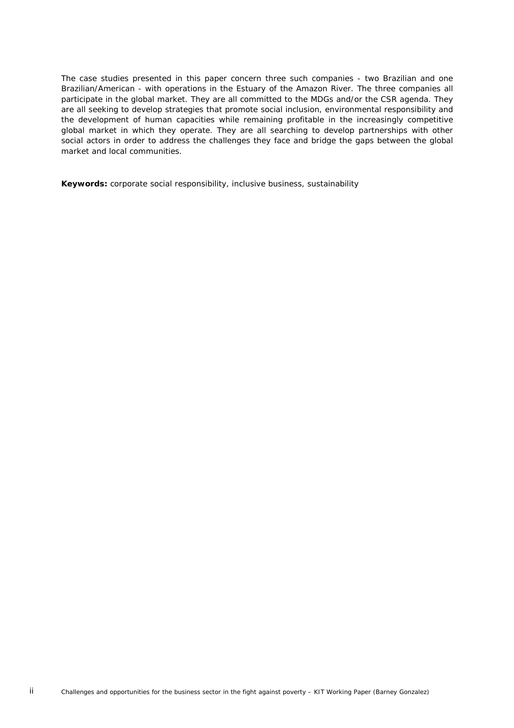The case studies presented in this paper concern three such companies - two Brazilian and one Brazilian/American - with operations in the Estuary of the Amazon River. The three companies all participate in the global market. They are all committed to the MDGs and/or the CSR agenda. They are all seeking to develop strategies that promote social inclusion, environmental responsibility and the development of human capacities while remaining profitable in the increasingly competitive global market in which they operate. They are all searching to develop partnerships with other social actors in order to address the challenges they face and bridge the gaps between the global market and local communities.

**Keywords:** corporate social responsibility, inclusive business, sustainability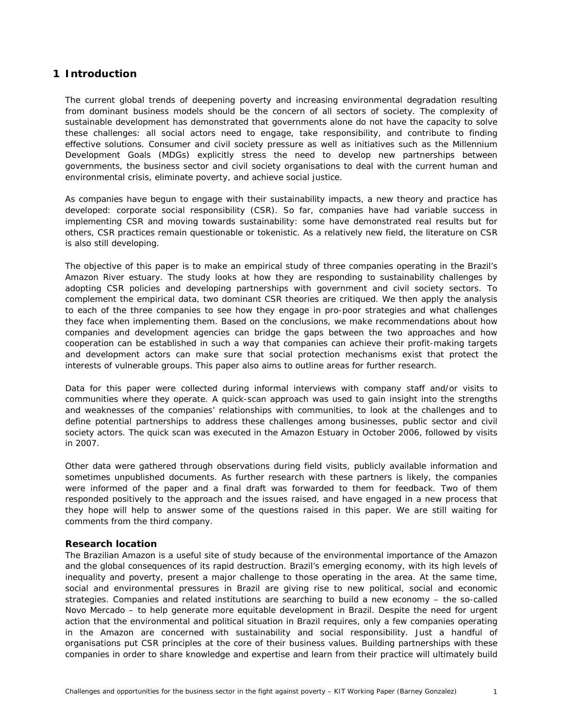# <span id="page-6-0"></span>**1 Introduction**

The current global trends of deepening poverty and increasing environmental degradation resulting from dominant business models should be the concern of all sectors of society. The complexity of sustainable development has demonstrated that governments alone do not have the capacity to solve these challenges: all social actors need to engage, take responsibility, and contribute to finding effective solutions. Consumer and civil society pressure as well as initiatives such as the Millennium Development Goals (MDGs) explicitly stress the need to develop new partnerships between governments, the business sector and civil society organisations to deal with the current human and environmental crisis, eliminate poverty, and achieve social justice.

As companies have begun to engage with their sustainability impacts, a new theory and practice has developed: corporate social responsibility (CSR). So far, companies have had variable success in implementing CSR and moving towards sustainability: some have demonstrated real results but for others, CSR practices remain questionable or tokenistic. As a relatively new field, the literature on CSR is also still developing.

The objective of this paper is to make an empirical study of three companies operating in the Brazil's Amazon River estuary. The study looks at how they are responding to sustainability challenges by adopting CSR policies and developing partnerships with government and civil society sectors. To complement the empirical data, two dominant CSR theories are critiqued. We then apply the analysis to each of the three companies to see how they engage in pro-poor strategies and what challenges they face when implementing them. Based on the conclusions, we make recommendations about how companies and development agencies can bridge the gaps between the two approaches and how cooperation can be established in such a way that companies can achieve their profit-making targets and development actors can make sure that social protection mechanisms exist that protect the interests of vulnerable groups. This paper also aims to outline areas for further research.

Data for this paper were collected during informal interviews with company staff and/or visits to communities where they operate. A quick-scan approach was used to gain insight into the strengths and weaknesses of the companies' relationships with communities, to look at the challenges and to define potential partnerships to address these challenges among businesses, public sector and civil society actors. The quick scan was executed in the Amazon Estuary in October 2006, followed by visits in 2007.

Other data were gathered through observations during field visits, publicly available information and sometimes unpublished documents. As further research with these partners is likely, the companies were informed of the paper and a final draft was forwarded to them for feedback. Two of them responded positively to the approach and the issues raised, and have engaged in a new process that they hope will help to answer some of the questions raised in this paper. We are still waiting for comments from the third company.

## **Research location**

The Brazilian Amazon is a useful site of study because of the environmental importance of the Amazon and the global consequences of its rapid destruction. Brazil's emerging economy, with its high levels of inequality and poverty, present a major challenge to those operating in the area. At the same time, social and environmental pressures in Brazil are giving rise to new political, social and economic strategies. Companies and related institutions are searching to build a new economy – the so-called *Novo Mercado* – to help generate more equitable development in Brazil. Despite the need for urgent action that the environmental and political situation in Brazil requires, only a few companies operating in the Amazon are concerned with sustainability and social responsibility. Just a handful of organisations put CSR principles at the core of their business values. Building partnerships with these companies in order to share knowledge and expertise and learn from their practice will ultimately build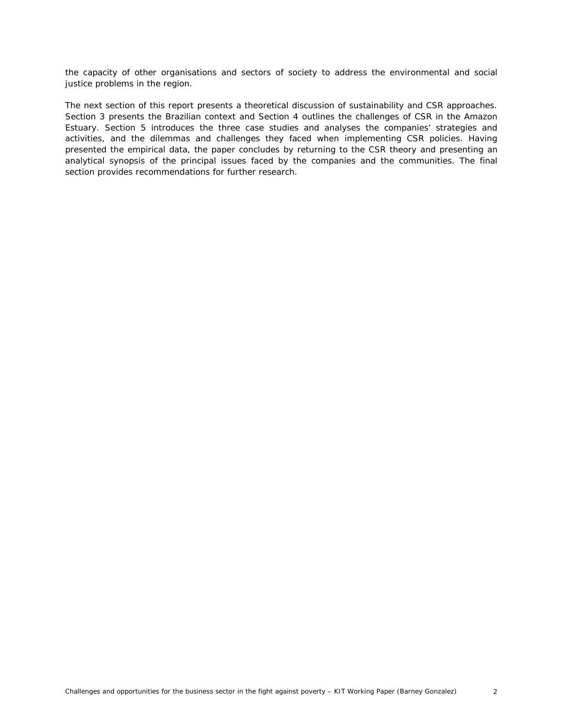the capacity of other organisations and sectors of society to address the environmental and social justice problems in the region.

The next section of this report presents a theoretical discussion of sustainability and CSR approaches. Section 3 presents the Brazilian context and Section 4 outlines the challenges of CSR in the Amazon Estuary. Section 5 introduces the three case studies and analyses the companies' strategies and activities, and the dilemmas and challenges they faced when implementing CSR policies. Having presented the empirical data, the paper concludes by returning to the CSR theory and presenting an analytical synopsis of the principal issues faced by the companies and the communities. The final section provides recommendations for further research.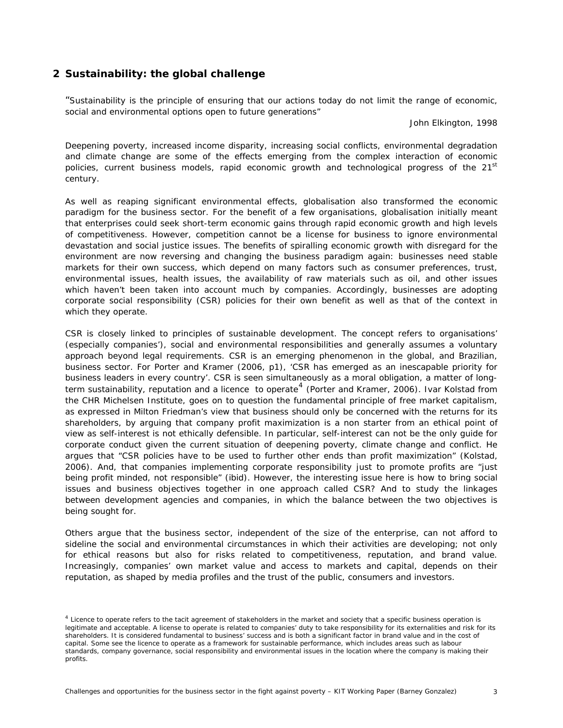# <span id="page-8-1"></span><span id="page-8-0"></span>**2 Sustainability: the global challenge**

*"Sustainability is the principle of ensuring that our actions today do not limit the range of economic, social and environmental options open to future generations"* 

*John Elkington, 1998* 

Deepening poverty, increased income disparity, increasing social conflicts, environmental degradation and climate change are some of the effects emerging from the complex interaction of economic policies, current business models, rapid economic growth and technological progress of the 21<sup>st</sup> century.

As well as reaping significant environmental effects, globalisation also transformed the economic paradigm for the business sector. For the benefit of a few organisations, globalisation initially meant that enterprises could seek short-term economic gains through rapid economic growth and high levels of competitiveness. However, competition cannot be a license for business to ignore environmental devastation and social justice issues. The benefits of spiralling economic growth with disregard for the environment are now reversing and changing the business paradigm again: businesses need stable markets for their own success, which depend on many factors such as consumer preferences, trust, environmental issues, health issues, the availability of raw materials such as oil, and other issues which haven't been taken into account much by companies. Accordingly, businesses are adopting corporate social responsibility (CSR) policies for their own benefit as well as that of the context in which they operate.

CSR is closely linked to principles of sustainable development. The concept refers to organisations' (especially companies'), social and environmental responsibilities and generally assumes a voluntary approach beyond legal requirements. CSR is an emerging phenomenon in the global, and Brazilian, business sector. For Porter and Kramer (2006, p1), *'*CSR has emerged as an inescapable priority for business leaders in every country'. CSR is seen simultaneously as a moral obligation, a matter of long-term sustainability, reputation and a licence to operate<sup>[4](#page-8-1)</sup> (Porter and Kramer, 2006). Ivar Kolstad from the CHR Michelsen Institute, goes on to question the fundamental principle of free market capitalism, as expressed in Milton Friedman's view that business should only be concerned with the returns for its shareholders, by arguing that company profit maximization is a non starter from an ethical point of view as self-interest is not ethically defensible. In particular, self-interest can not be the only guide for corporate conduct given the current situation of deepening poverty, climate change and conflict. He argues that "CSR policies have to be used to further other ends than profit maximization" (Kolstad, 2006). And, that companies implementing corporate responsibility just to promote profits are "just being profit minded, not responsible" (*ibid*). However, the interesting issue here is how to bring social issues and business objectives together in one approach called CSR? And to study the linkages between development agencies and companies, in which the balance between the two objectives is being sought for.

Others argue that the business sector, independent of the size of the enterprise, can not afford to sideline the social and environmental circumstances in which their activities are developing; not only for ethical reasons but also for risks related to competitiveness, reputation, and brand value. Increasingly, companies' own market value and access to markets and capital, depends on their reputation, as shaped by media profiles and the trust of the public, consumers and investors.

<sup>&</sup>lt;sup>4</sup> Licence to operate refers to the tacit agreement of stakeholders in the market and society that a specific business operation is legitimate and acceptable. A license to operate is related to companies' duty to take responsibility for its externalities and risk for its shareholders. It is considered fundamental to business' success and is both a significant factor in brand value and in the cost of capital. Some see the licence to operate as a framework for sustainable performance, which includes areas such as labour standards, company governance, social responsibility and environmental issues in the location where the company is making their profits.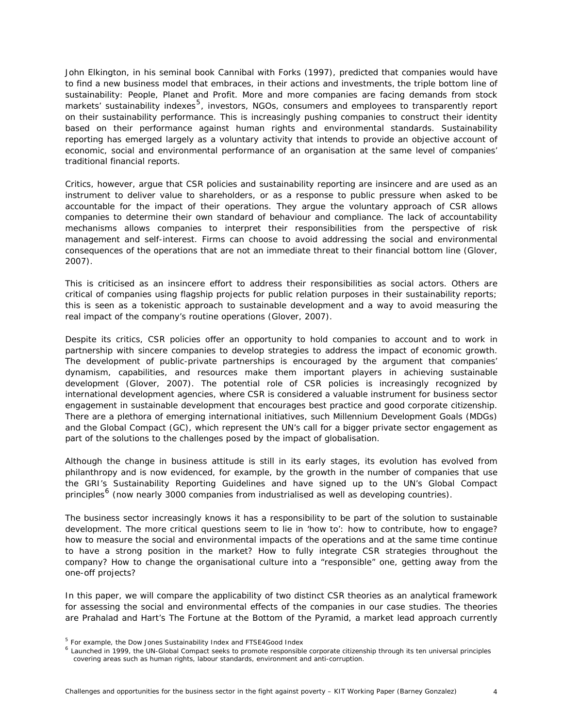<span id="page-9-0"></span>John Elkington, in his seminal book *Cannibal with Forks (1997)*, predicted that companies would have to find a new business model that embraces, in their actions and investments, the triple bottom line of sustainability: People, Planet and Profit. More and more companies are facing demands from stock markets' sustainability indexes<sup>[5](#page-9-0)</sup>, investors, NGOs, consumers and employees to transparently report on their sustainability performance. This is increasingly pushing companies to construct their identity based on their performance against human rights and environmental standards. Sustainability reporting has emerged largely as a voluntary activity that intends to provide an objective account of economic, social and environmental performance of an organisation at the same level of companies' traditional financial reports.

Critics, however, argue that CSR policies and sustainability reporting are insincere and are used as an instrument to deliver value to shareholders, or as a response to public pressure when asked to be accountable for the impact of their operations. They argue the voluntary approach of CSR allows companies to determine their own standard of behaviour and compliance. The lack of accountability mechanisms allows companies to interpret their responsibilities from the perspective of risk management and self-interest. Firms can choose to avoid addressing the social and environmental consequences of the operations that are not an immediate threat to their financial bottom line (Glover, 2007).

This is criticised as an insincere effort to address their responsibilities as social actors. Others are critical of companies using flagship projects for public relation purposes in their sustainability reports; this is seen as a tokenistic approach to sustainable development and a way to avoid measuring the real impact of the company's routine operations (Glover, 2007*)*.

Despite its critics, CSR policies offer an opportunity to hold companies to account and to work in partnership with sincere companies to develop strategies to address the impact of economic growth. The development of public-private partnerships is encouraged by the argument that companies' dynamism, capabilities, and resources make them important players in achieving sustainable development (Glover, 2007). The potential role of CSR policies is increasingly recognized by international development agencies, where CSR is considered a valuable instrument for business sector engagement in sustainable development that encourages best practice and good corporate citizenship. There are a plethora of emerging international initiatives, such Millennium Development Goals (MDGs) and the Global Compact (GC), which represent the UN's call for a bigger private sector engagement as part of the solutions to the challenges posed by the impact of globalisation.

Although the change in business attitude is still in its early stages, its evolution has evolved from philanthropy and is now evidenced, for example, by the growth in the number of companies that use the GRI's Sustainability Reporting Guidelines and have signed up to the UN's Global Compact principles<sup>[6](#page-9-0)</sup> (now nearly 3000 companies from industrialised as well as developing countries).

The business sector increasingly knows it has a responsibility to be part of the solution to sustainable development. The more critical questions seem to lie in '*how to'*: *how to contribute, how to engage? how to measure the social and environmental impacts of the operations and at the same time continue to have a strong position in the market?* How to fully integrate CSR strategies throughout the company? How to change the organisational culture into a "responsible" one, getting away from the one-off projects?

In this paper, we will compare the applicability of two distinct CSR theories as an analytical framework for assessing the social and environmental effects of the companies in our case studies. The theories are Prahalad and Hart's *The Fortune at the Bottom of the Pyramid*, a market lead approach currently

<sup>5</sup> For example, the Dow Jones Sustainability Index and FTSE4Good Index

<sup>&</sup>lt;sup>6</sup> Launched in 1999, the UN-Global Compact seeks to promote responsible corporate citizenship through its ten universal principles covering areas such as human rights, labour standards, environment and anti-corruption.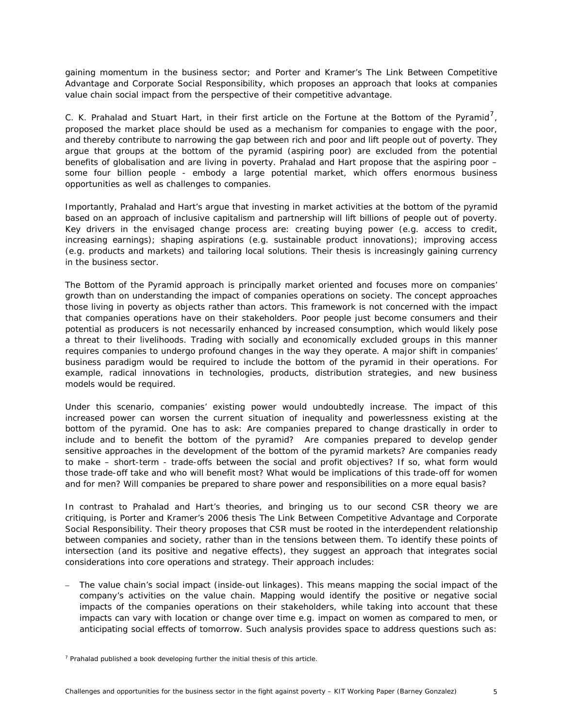<span id="page-10-0"></span>gaining momentum in the business sector; and Porter and Kramer's *The Link Between Competitive Advantage and Corporate Social Responsibility*, which proposes an approach that looks at companies value chain social impact from the perspective of their competitive advantage.

C. K. Prahalad and Stuart Hart, in their first article on the Fortune at the Bottom of the Pyramid<sup>[7](#page-10-0)</sup>, proposed the market place should be used as a mechanism for companies to engage with the poor, and thereby contribute to narrowing the gap between rich and poor and lift people out of poverty. They argue that groups at the bottom of the pyramid (*aspiring poor)* are excluded from the potential benefits of globalisation and are living in poverty. Prahalad and Hart propose that the aspiring poor – some four billion people - embody a large potential market, which offers enormous business opportunities as well as challenges to companies.

Importantly, Prahalad and Hart's argue that investing in market activities at the bottom of the pyramid based on an approach of inclusive capitalism and partnership will lift billions of people out of poverty. Key drivers in the envisaged change process are: creating buying power (e.g. access to credit, increasing earnings); shaping aspirations (e.g. sustainable product innovations); improving access (e.g. products and markets) and tailoring local solutions. Their thesis is increasingly gaining currency in the business sector.

*The Bottom of the Pyramid* approach is principally market oriented and focuses more on companies' growth than on understanding the impact of companies operations on society. The concept approaches those living in poverty as objects rather than actors. This framework is not concerned with the impact that companies operations have on their stakeholders. Poor people just become consumers and their potential as producers is not necessarily enhanced by increased consumption, which would likely pose a threat to their livelihoods. Trading with socially and economically excluded groups in this manner requires companies to undergo profound changes in the way they operate. A major shift in companies' business paradigm would be required to include the bottom of the pyramid in their operations. For example, radical innovations in technologies, products, distribution strategies, and new business models would be required.

Under this scenario, companies' existing power would undoubtedly increase. The impact of this increased power can worsen the current situation of inequality and powerlessness existing at the bottom of the pyramid. One has to ask: *Are companies prepared to change drastically in order to include and to benefit the bottom of the pyramid? Are companies prepared to develop gender sensitive approaches in the development of the bottom of the pyramid markets? Are companies ready to make – short-term - trade-offs between the social and profit objectives? If so, what form would those trade-off take and who will benefit most*? *What would be implications of this trade-off for women and for men? Will companies be prepared to share power and responsibilities on a more equal basis?* 

In contrast to Prahalad and Hart's theories, and bringing us to our second CSR theory we are critiquing, is Porter and Kramer's 2006 thesis *The Link Between Competitive Advantage and Corporate Social Responsibility.* Their theory proposes that CSR must be rooted in the interdependent relationship between companies and society, rather than in the tensions between them. To identify these points of intersection (and its positive and negative effects), they suggest an approach that integrates social considerations into core operations and strategy. Their approach includes:

– *The value chain's social impact (inside-out linkages)*. This means mapping the social impact of the company's activities on the value chain. Mapping would identify the positive or negative social impacts of the companies operations on their stakeholders, while taking into account that these impacts can vary with location or change over time e.g. impact on women as compared to men, or anticipating social effects of tomorrow. Such analysis provides space to address questions such as:

 $7$  Prahalad published a book developing further the initial thesis of this article.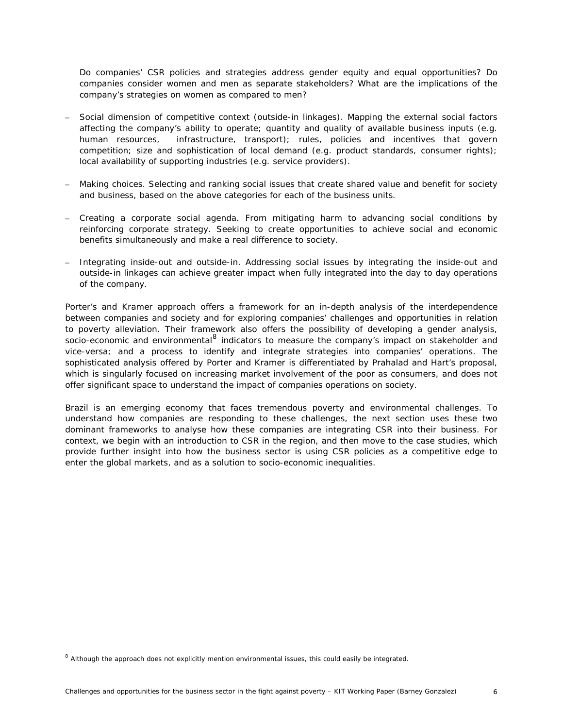<span id="page-11-0"></span>*Do companies' CSR policies and strategies address gender equity and equal opportunities? Do companies consider women and men as separate stakeholders? What are the implications of the company's strategies on women as compared to men?* 

- *Social dimension of competitive context* (*outside-in linkages*). Mapping the external social factors affecting the company's ability to operate; quantity and quality of available business inputs (e.g. human resources, infrastructure, transport); rules, policies and incentives that govern competition; size and sophistication of local demand (e.g. product standards, consumer rights); local availability of supporting industries (e.g. service providers).
- *Making choices.* Selecting and ranking social issues that create shared value and benefit for society and business, based on the above categories for each of the business units*.*
- *Creating a corporate social agenda.* From mitigating harm to advancing social conditions by reinforcing corporate strategy. Seeking to create opportunities to achieve social and economic benefits simultaneously and make a real difference to society.
- *Integrating inside-out and outside-in.* Addressing social issues by integrating the inside-out and outside-in linkages can achieve greater impact when fully integrated into the day to day operations of the company.

Porter's and Kramer approach offers a framework for an in-depth analysis of the interdependence between companies and society and for exploring companies' challenges and opportunities in relation to poverty alleviation. Their framework also offers the possibility of developing a gender analysis, socio-economic and environmental<sup>[8](#page-11-0)</sup> indicators to measure the company's impact on stakeholder and vice-versa; and a process to identify and integrate strategies into companies' operations. The sophisticated analysis offered by Porter and Kramer is differentiated by Prahalad and Hart's proposal, which is singularly focused on increasing market involvement of the poor as consumers, and does not offer significant space to understand the impact of companies operations on society.

Brazil is an emerging economy that faces tremendous poverty and environmental challenges. To understand how companies are responding to these challenges, the next section uses these two dominant frameworks to analyse how these companies are integrating CSR into their business. For context, we begin with an introduction to CSR in the region, and then move to the case studies, which provide further insight into how the business sector is using CSR policies as a competitive edge to enter the global markets, and as a solution to socio-economic inequalities.

<sup>&</sup>lt;sup>8</sup> Although the approach does not explicitly mention environmental issues, this could easily be integrated.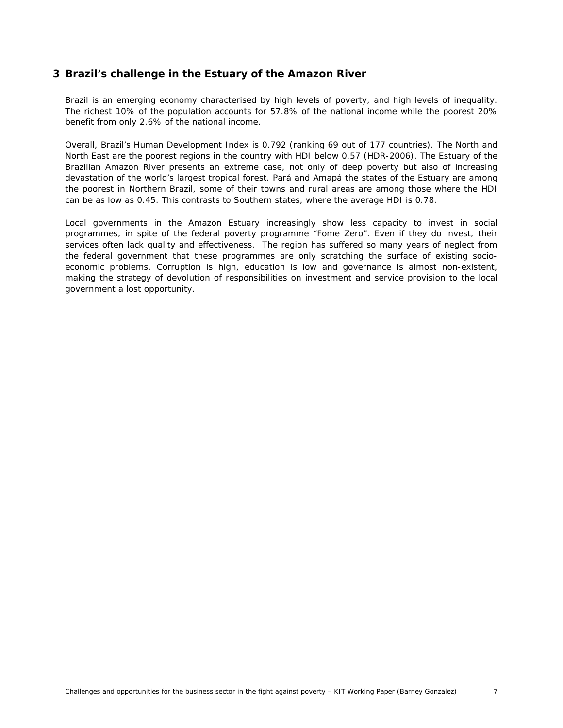# <span id="page-12-0"></span>**3 Brazil's challenge in the Estuary of the Amazon River**

Brazil is an emerging economy characterised by high levels of poverty, and high levels of inequality. The richest 10% of the population accounts for 57.8% of the national income while the poorest 20% benefit from only 2.6% of the national income.

Overall, Brazil's Human Development Index is 0.792 (ranking 69 out of 177 countries). The North and North East are the poorest regions in the country with HDI below 0.57 (HDR-2006). The Estuary of the Brazilian Amazon River presents an extreme case, not only of deep poverty but also of increasing devastation of the world's largest tropical forest. Pará and Amapá the states of the Estuary are among the poorest in Northern Brazil, some of their towns and rural areas are among those where the HDI can be as low as 0.45. This contrasts to Southern states, where the average HDI is 0.78.

Local governments in the Amazon Estuary increasingly show less capacity to invest in social programmes, in spite of the federal poverty programme "Fome Zero". Even if they do invest, their services often lack quality and effectiveness. The region has suffered so many years of neglect from the federal government that these programmes are only scratching the surface of existing socioeconomic problems. Corruption is high, education is low and governance is almost non-existent, making the strategy of devolution of responsibilities on investment and service provision to the local government a lost opportunity.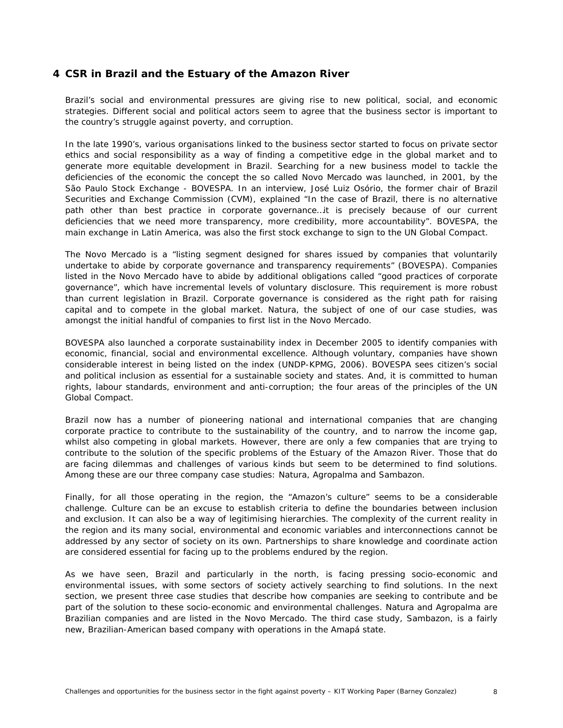# <span id="page-13-0"></span>**4 CSR in Brazil and the Estuary of the Amazon River**

Brazil's social and environmental pressures are giving rise to new political, social, and economic strategies. Different social and political actors seem to agree that the business sector is important to the country's struggle against poverty, and corruption.

In the late 1990's, various organisations linked to the business sector started to focus on private sector ethics and social responsibility as a way of finding a competitive edge in the global market and to generate more equitable development in Brazil. Searching for a new business model to tackle the deficiencies of the economic the concept the so called *Novo Mercado* was launched, in 2001, by the São Paulo Stock Exchange - BOVESPA. In an interview, José Luiz Osório, the former chair of Brazil Securities and Exchange Commission (CVM), explained *"In the case of Brazil, there is no alternative*  path other than best practice in corporate governance...it is precisely because of our current *deficiencies that we need more transparency, more credibility, more accountability"*. BOVESPA, the main exchange in Latin America, was also the first stock exchange to sign to the UN Global Compact.

The *Novo Mercado* is a "listing segment designed for shares issued by companies that voluntarily undertake to abide by corporate governance and transparency requirements" (BOVESPA). Companies listed in the *Novo Mercado* have to abide by additional obligations called "*good practices of corporate governance*", which have incremental levels of voluntary disclosure. This requirement is more robust than current legislation in Brazil. Corporate governance is considered as the right path for raising capital and to compete in the global market. Natura, the subject of one of our case studies, was amongst the initial handful of companies to first list in the *Novo Mercado*.

BOVESPA also launched a corporate sustainability index in December 2005 to identify companies with economic, financial, social and environmental excellence. Although voluntary, companies have shown considerable interest in being listed on the index (UNDP-KPMG, 2006). BOVESPA sees citizen's social and political inclusion as essential for a sustainable society and states. And, it is committed to human rights, labour standards, environment and anti-corruption; the four areas of the principles of the UN Global Compact.

Brazil now has a number of pioneering national and international companies that are changing corporate practice to contribute to the sustainability of the country, and to narrow the income gap, whilst also competing in global markets. However, there are only a few companies that are trying to contribute to the solution of the specific problems of the Estuary of the Amazon River. Those that do are facing dilemmas and challenges of various kinds but seem to be determined to find solutions. Among these are our three company case studies: Natura, Agropalma and Sambazon.

Finally, for all those operating in the region, the "Amazon's culture" seems to be a considerable challenge. Culture can be an excuse to establish criteria to define the boundaries between inclusion and exclusion. It can also be a way of legitimising hierarchies. The complexity of the current reality in the region and its many social, environmental and economic variables and interconnections cannot be addressed by any sector of society on its own. Partnerships to share knowledge and coordinate action are considered essential for facing up to the problems endured by the region.

As we have seen, Brazil and particularly in the north, is facing pressing socio-economic and environmental issues, with some sectors of society actively searching to find solutions. In the next section, we present three case studies that describe how companies are seeking to contribute and be part of the solution to these socio-economic and environmental challenges. Natura and Agropalma are Brazilian companies and are listed in the *Novo Mercado*. The third case study, Sambazon, is a fairly new, Brazilian-American based company with operations in the Amapá state.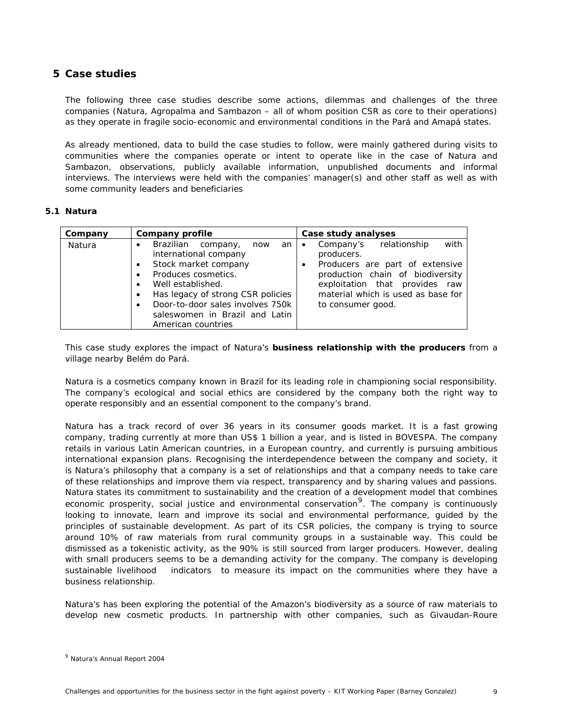# <span id="page-14-1"></span><span id="page-14-0"></span>**5 Case studies**

The following three case studies describe some actions, dilemmas and challenges of the three companies (Natura, Agropalma and Sambazon – all of whom position CSR as core to their operations) as they operate in fragile socio-economic and environmental conditions in the Pará and Amapá states.

As already mentioned, data to build the case studies to follow, were mainly gathered during visits to communities where the companies operate or intent to operate like in the case of Natura and Sambazon, observations, publicly available information, unpublished documents and informal interviews. The interviews were held with the companies' manager(s) and other staff as well as with some community leaders and beneficiaries

## **5.1 Natura**

| Company | Company profile                                                                                                                                                                                                                                                         | Case study analyses                                                                                                                                                                                                                        |
|---------|-------------------------------------------------------------------------------------------------------------------------------------------------------------------------------------------------------------------------------------------------------------------------|--------------------------------------------------------------------------------------------------------------------------------------------------------------------------------------------------------------------------------------------|
| Natura  | Brazilian company,<br>now<br>an<br>international company<br>Stock market company<br>Produces cosmetics.<br>Well established.<br>Has legacy of strong CSR policies<br>٠<br>Door-to-door sales involves 750k<br>٠<br>saleswomen in Brazil and Latin<br>American countries | with<br>Company's relationship<br>$\bullet$<br>producers.<br>Producers are part of extensive<br>$\bullet$<br>production chain of biodiversity<br>exploitation that provides raw<br>material which is used as base for<br>to consumer good. |

This case study explores the impact of Natura's **business relationship with the producers** from a village nearby Belém do Pará.

Natura is a cosmetics company known in Brazil for its leading role in championing social responsibility. The company's ecological and social ethics are considered by the company both the right way to operate responsibly and an essential component to the company's brand.

Natura has a track record of over 36 years in its consumer goods market. It is a fast growing company, trading currently at more than US\$ 1 billion a year, and is listed in BOVESPA. The company retails in various Latin American countries, in a European country, and currently is pursuing ambitious international expansion plans. Recognising the interdependence between the company and society, it is Natura's philosophy that a company is a set of relationships and that a company needs to take care of these relationships and improve them via respect, transparency and by sharing values and passions. Natura states its commitment to sustainability and the creation of a development model that combines economic prosperity, social justice and environmental conservation<sup>[9](#page-14-1)</sup>. The company is continuously looking to innovate, learn and improve its social and environmental performance, guided by the principles of sustainable development. As part of its CSR policies, the company is trying to source around 10% of raw materials from rural community groups in a sustainable way. This could be dismissed as a tokenistic activity, as the 90% is still sourced from larger producers. However, dealing with small producers seems to be a demanding activity for the company. The company is developing sustainable livelihood indicators to measure its impact on the communities where they have a business relationship.

Natura's has been exploring the potential of the Amazon's biodiversity as a source of raw materials to develop new cosmetic products. In partnership with other companies, such as Givaudan-Roure

<sup>9</sup> Natura's Annual Report 2004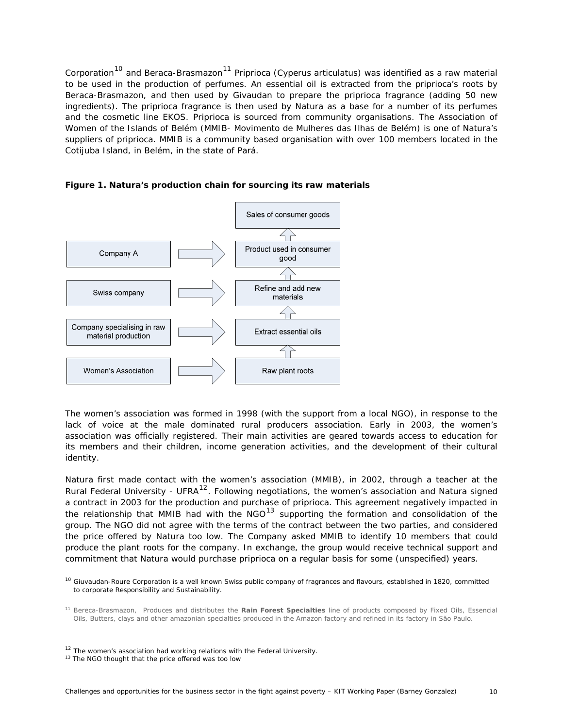<span id="page-15-0"></span>Corporation<sup>[10](#page-15-0)</sup> and Beraca-Brasmazon<sup>[11](#page-15-0)</sup> Priprioca (*Cyperus articulatus*) was identified as a raw material to be used in the production of perfumes. An essential oil is extracted from the priprioca's roots by Beraca-Brasmazon, and then used by Givaudan to prepare the priprioca fragrance (adding 50 new ingredients). The priprioca fragrance is then used by Natura as a base for a number of its perfumes and the cosmetic line EKOS. Priprioca is sourced from community organisations. The Association of Women of the Islands of Belém (MMIB- Movimento de Mulheres das Ilhas de Belém) is one of Natura's suppliers of priprioca. MMIB is a community based organisation with over 100 members located in the Cotijuba Island, in Belém, in the state of Pará.



**Figure 1. Natura's production chain for sourcing its raw materials** 

The women's association was formed in 1998 (with the support from a local NGO), in response to the lack of voice at the male dominated rural producers association. Early in 2003, the women's association was officially registered. Their main activities are geared towards access to education for its members and their children, income generation activities, and the development of their cultural identity.

Natura first made contact with the women's association (MMIB), in 2002, through a teacher at the Rural Federal University - UFRA<sup>[12](#page-15-0)</sup>. Following negotiations, the women's association and Natura signed a contract in 2003 for the production and purchase of priprioca. This agreement negatively impacted in the relationship that MMIB had with the  $NGO^{13}$  $NGO^{13}$  $NGO^{13}$  supporting the formation and consolidation of the group. The NGO did not agree with the terms of the contract between the two parties, and considered the price offered by Natura too low. The Company asked MMIB to identify 10 members that could produce the plant roots for the company. In exchange, the group would receive technical support and commitment that Natura would purchase priprioca on a regular basis for some (unspecified) years.

<sup>&</sup>lt;sup>10</sup> Giuvaudan-Roure Corporation is a well known Swiss public company of fragrances and flavours, established in 1820, committed to corporate Responsibility and Sustainability.

<sup>11</sup> Bereca-Brasmazon, Produces and distributes the **Rain Forest Specialties** line of products composed by Fixed Oils, Essencial Oils, Butters, clays and other amazonian specialties produced in the Amazon factory and refined in its factory in São Paulo.

<sup>&</sup>lt;sup>12</sup> The women's association had working relations with the Federal University. <sup>13</sup> The NGO thought that the price offered was too low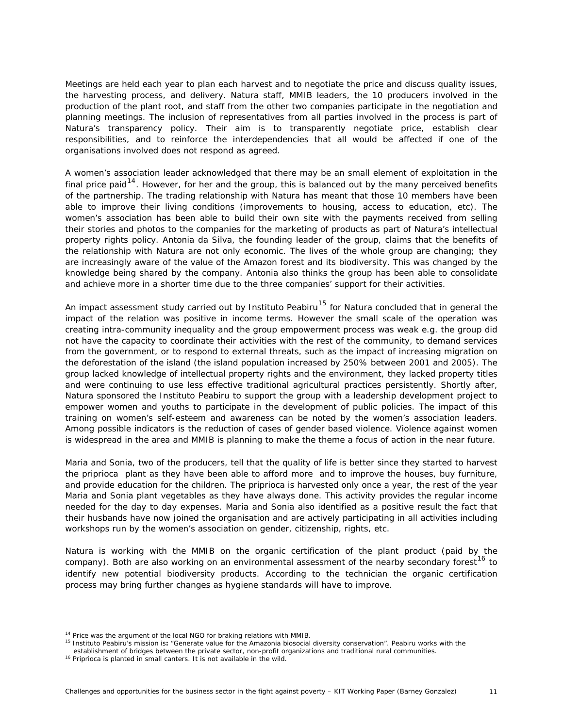<span id="page-16-0"></span>Meetings are held each year to plan each harvest and to negotiate the price and discuss quality issues, the harvesting process, and delivery. Natura staff, MMIB leaders, the 10 producers involved in the production of the plant root, and staff from the other two companies participate in the negotiation and planning meetings. The inclusion of representatives from all parties involved in the process is part of Natura's transparency policy. Their aim is to transparently negotiate price, establish clear responsibilities, and to reinforce the interdependencies that all would be affected if one of the organisations involved does not respond as agreed.

A women's association leader acknowledged that there may be an small element of exploitation in the final price paid<sup>[14](#page-16-0)</sup>. However, for her and the group, this is balanced out by the many *perceived* benefits of the partnership. The trading relationship with Natura has meant that those 10 members have been able to improve their living conditions (improvements to housing, access to education, etc). The women's association has been able to build their own site with the payments received from selling their stories and photos to the companies for the marketing of products as part of Natura's intellectual property rights policy. Antonia da Silva, the founding leader of the group, claims that the benefits of the relationship with Natura are not only economic. The lives of the whole group are changing; they are increasingly aware of the value of the Amazon forest and its biodiversity. This was changed by the knowledge being shared by the company. Antonia also thinks the group has been able to consolidate and achieve more in a shorter time due to the three companies' support for their activities.

An impact assessment study carried out by Instituto Peabiru<sup>[15](#page-16-0)</sup> for Natura concluded that in general the impact of the relation was positive in income terms. However the small scale of the operation was creating intra-community inequality and the group empowerment process was weak e.g. the group did not have the capacity to coordinate their activities with the rest of the community, to demand services from the government, or to respond to external threats, such as the impact of increasing migration on the deforestation of the island (the island population increased by 250% between 2001 and 2005). The group lacked knowledge of intellectual property rights and the environment, they lacked property titles and were continuing to use less effective traditional agricultural practices persistently. Shortly after, Natura sponsored the Instituto Peabiru to support the group with a leadership development project to empower women and youths to participate in the development of public policies. The impact of this training on women's self-esteem and awareness can be noted by the women's association leaders. Among possible indicators is the reduction of cases of gender based violence. Violence against women is widespread in the area and MMIB is planning to make the theme a focus of action in the near future.

Maria and Sonia, two of the producers, tell that the quality of life is better since they started to harvest the priprioca plant as they have been able to afford more and to improve the houses, buy furniture, and provide education for the children. The priprioca is harvested only once a year, the rest of the year Maria and Sonia plant vegetables as they have always done. This activity provides the regular income needed for the day to day expenses. Maria and Sonia also identified as a positive result the fact that their husbands have now joined the organisation and are actively participating in all activities including workshops run by the women's association on gender, citizenship, rights, etc.

Natura is working with the MMIB on the organic certification of the plant product (paid by the company). Both are also working on an environmental assessment of the nearby secondary forest<sup>[16](#page-16-0)</sup> to identify new potential biodiversity products. According to the technician the organic certification process may bring further changes as hygiene standards will have to improve.

<sup>&</sup>lt;sup>14</sup> Price was the argument of the local NGO for braking relations with MMIB.<br><sup>15</sup> Instituto Peabiru's mission is: "Generate value for the Amazonia biosocial diversity conservation". Peabiru works with the

establishment of bridges between the private sector, non-profit organizations and traditional rural communities.<br><sup>16</sup> Priprioca is planted in small canters. It is not available in the wild.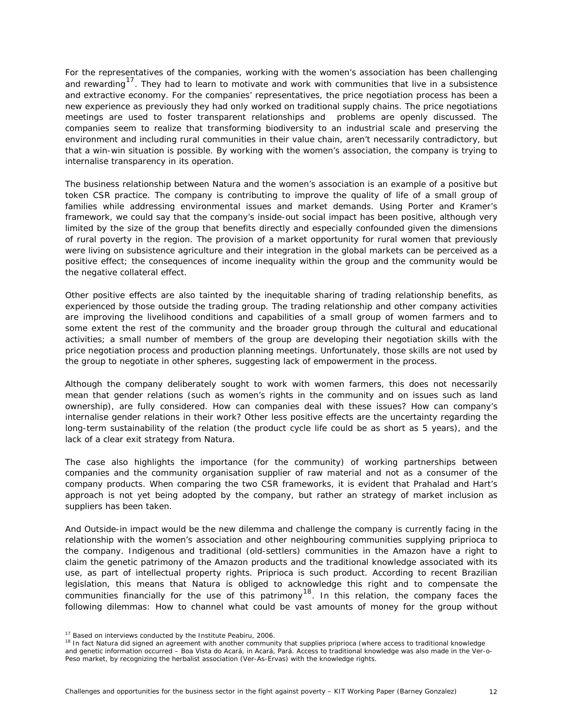<span id="page-17-0"></span>For the representatives of the companies, working with the women's association has been challenging and rewarding<sup>[17](#page-17-0)</sup>. They had to learn to motivate and work with communities that live in a subsistence and extractive economy. For the companies' representatives, the price negotiation process has been a new experience as previously they had only worked on traditional supply chains. The price negotiations meetings are used to foster transparent relationships and problems are openly discussed. The companies seem to realize that transforming biodiversity to an industrial scale and preserving the environment and including rural communities in their value chain, aren't necessarily contradictory, but that a win-win situation is possible. By working with the women's association, the company is trying to internalise transparency in its operation.

The business relationship between Natura and the women's association is an example of a positive but token CSR practice. The company is contributing to improve the quality of life of a small group of families while addressing environmental issues and market demands. Using Porter and Kramer's framework, we could say that the company's inside-out social impact has been positive, although very limited by the size of the group that benefits directly and especially confounded given the dimensions of rural poverty in the region. The provision of a market opportunity for rural women that previously were living on subsistence agriculture and their integration in the global markets can be perceived as a positive effect; the consequences of income inequality within the group and the community would be the negative collateral effect.

Other positive effects are also tainted by the inequitable sharing of trading relationship benefits, as experienced by those outside the trading group. The trading relationship and other company activities are improving the livelihood conditions and capabilities of a small group of women farmers and to some extent the rest of the community and the broader group through the cultural and educational activities; a small number of members of the group are developing their negotiation skills with the price negotiation process and production planning meetings. Unfortunately, those skills are not used by the group to negotiate in other spheres, suggesting lack of empowerment in the process.

Although the company deliberately sought to work with women farmers, this does not necessarily mean that gender relations (such as women's rights in the community and on issues such as land ownership), are fully considered. How can companies deal with these issues? How can company's internalise gender relations in their work? Other less positive effects are the uncertainty regarding the long-term sustainability of the relation (the product cycle life could be as short as 5 years), and the lack of a clear exit strategy from Natura.

The case also highlights the importance (for the community) of working partnerships between companies and the community organisation supplier of raw material and not as a consumer of the company products. When comparing the two CSR frameworks, it is evident that Prahalad and Hart's approach is not yet being adopted by the company, but rather an strategy of market inclusion as suppliers has been taken.

And Outside-in impact would be the new dilemma and challenge the company is currently facing in the relationship with the women's association and other neighbouring communities supplying priprioca to the company. Indigenous and traditional (old-settlers) communities in the Amazon have a right to claim the genetic patrimony of the Amazon products and the traditional knowledge associated with its use, as part of intellectual property rights. Priprioca is such product. According to recent Brazilian legislation, this means that Natura is obliged to acknowledge this right and to compensate the communities financially for the use of this patrimony<sup>[18](#page-17-0)</sup>. In this relation, the company faces the following dilemmas: How to channel what could be vast amounts of money for the group without

<sup>&</sup>lt;sup>17</sup> Based on interviews conducted by the Institute Peabiru, 2006.<br><sup>18</sup> In fact Natura did signed an agreement with another community that supplies priprioca (where access to traditional knowledge and genetic information occurred – Boa Vista do Acará, in Acará, Pará. Access to traditional knowledge was also made in the Ver-o-Peso market, by recognizing the herbalist association (Ver-As-Ervas) with the knowledge rights.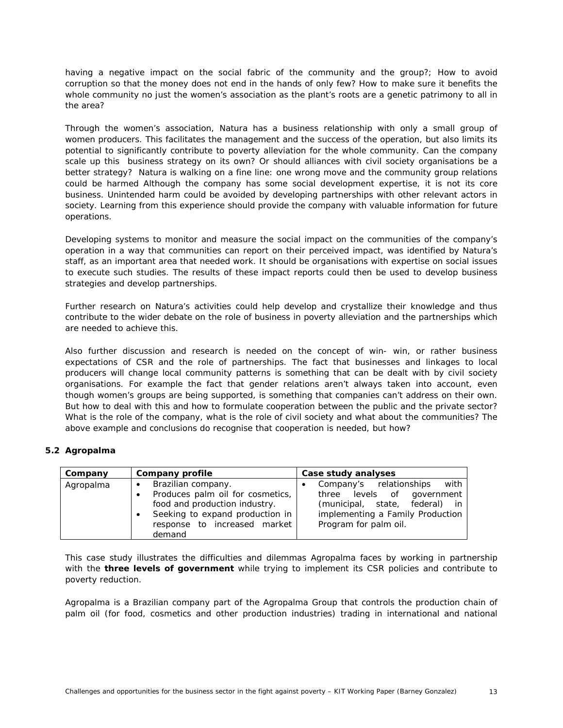<span id="page-18-0"></span>having a negative impact on the social fabric of the community and the group?; How to avoid corruption so that the money does not end in the hands of only few? How to make sure it benefits the whole community no just the women's association as the plant's roots are a genetic patrimony to all in the area?

Through the women's association, Natura has a business relationship with only a small group of women producers. This facilitates the management and the success of the operation, but also limits its potential to significantly contribute to poverty alleviation for the whole community. Can the company scale up this business strategy on its own? Or should alliances with civil society organisations be a better strategy? Natura is walking on a fine line: one wrong move and the community group relations could be harmed Although the company has some social development expertise, it is not its core business. Unintended harm could be avoided by developing partnerships with other relevant actors in society. Learning from this experience should provide the company with valuable information for future operations.

Developing systems to monitor and measure the social impact on the communities of the company's operation in a way that communities can report on their perceived impact, was identified by Natura's staff, as an important area that needed work. It should be organisations with expertise on social issues to execute such studies. The results of these impact reports could then be used to develop business strategies and develop partnerships.

Further research on Natura's activities could help develop and crystallize their knowledge and thus contribute to the wider debate on the role of business in poverty alleviation and the partnerships which are needed to achieve this.

Also further discussion and research is needed on the concept of win- win, or rather business expectations of CSR and the role of partnerships. The fact that businesses and linkages to local producers will change local community patterns is something that can be dealt with by civil society organisations. For example the fact that gender relations aren't always taken into account, even though women's groups are being supported, is something that companies can't address on their own. But how to deal with this and how to formulate cooperation between the public and the private sector? What is the role of the company, what is the role of civil society and what about the communities? The above example and conclusions do recognise that cooperation is needed, but how?

## **5.2 Agropalma**

| Company   | <b>Company profile</b>                                                                                                                       | Case study analyses                                                                                                                 |
|-----------|----------------------------------------------------------------------------------------------------------------------------------------------|-------------------------------------------------------------------------------------------------------------------------------------|
| Agropalma | Brazilian company.<br>$\bullet$<br>Produces palm oil for cosmetics,<br>food and production industry.<br>Seeking to expand production in<br>٠ | with<br>Company's relationships<br>three levels of government<br>(municipal, state, federal) in<br>implementing a Family Production |
|           | response to increased market<br>demand                                                                                                       | Program for palm oil.                                                                                                               |

This case study illustrates the difficulties and dilemmas Agropalma faces by working in partnership with the **three levels of government** while trying to implement its CSR policies and contribute to poverty reduction.

Agropalma is a Brazilian company part of the Agropalma Group that controls the production chain of palm oil (for food, cosmetics and other production industries) trading in international and national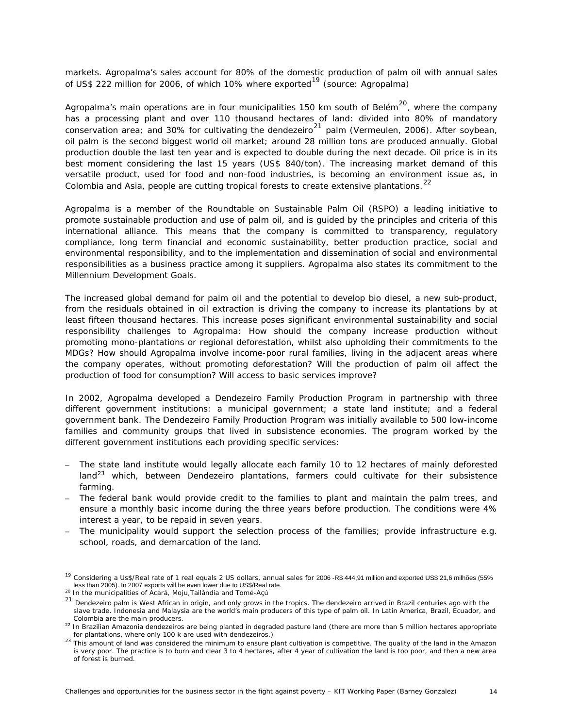<span id="page-19-0"></span>markets. Agropalma's sales account for 80% of the domestic production of palm oil with annual sales of US\$ 222 million for 2006, of which 10% where exported<sup>[19](#page-19-0)</sup> (source: Agropalma)

Agropalma's main operations are in four municipalities 150 km south of Belém $^{20}$  $^{20}$  $^{20}$ , where the company has a processing plant and over 110 thousand hectares of land: divided into 80% of mandatory conservation area; and 30% for cultivating the dendezeiro<sup>[21](#page-19-0)</sup> palm (Vermeulen, 2006). After soybean, oil palm is the second biggest world oil market; around 28 million tons are produced annually. Global production double the last ten year and is expected to double during the next decade. Oil price is in its best moment considering the last 15 years (US\$ 840/ton). The increasing market demand of this versatile product, used for food and non-food industries, is becoming an environment issue as, in Colombia and Asia, people are cutting tropical forests to create extensive plantations.<sup>[22](#page-19-0)</sup>

Agropalma is a member of the Roundtable on Sustainable Palm Oil (RSPO) a leading initiative to promote sustainable production and use of palm oil, and is guided by the principles and criteria of this international alliance. This means that the company is committed to transparency, regulatory compliance, long term financial and economic sustainability, better production practice, social and environmental responsibility, and to the implementation and dissemination of social and environmental responsibilities as a business practice among it suppliers. Agropalma also states its commitment to the Millennium Development Goals.

The increased global demand for palm oil and the potential to develop bio diesel, a new sub-product, from the residuals obtained in oil extraction is driving the company to increase its plantations by at least fifteen thousand hectares. This increase poses significant environmental sustainability and social responsibility challenges to Agropalma: *How should the company increase production without promoting mono-plantations or regional deforestation, whilst also upholding their commitments to the MDGs? How should Agropalma involve income-poor rural families, living in the adjacent areas where the company operates, without promoting deforestation? Will the production of palm oil affect the production of food for consumption? Will access to basic services improve?* 

In 2002, Agropalma developed a Dendezeiro Family Production Program in partnership with three different government institutions: a municipal government; a state land institute; and a federal government bank. The Dendezeiro Family Production Program was initially available to 500 low-income families and community groups that lived in subsistence economies. The program worked by the different government institutions each providing specific services:

- The state land institute would legally allocate each family 10 to 12 hectares of mainly deforested land $^{23}$  $^{23}$  $^{23}$  which, between Dendezeiro plantations, farmers could cultivate for their subsistence farming.
- The federal bank would provide credit to the families to plant and maintain the palm trees, and ensure a monthly basic income during the three years before production. The conditions were 4% interest a year, to be repaid in seven years.
- The municipality would support the selection process of the families; provide infrastructure e.g. school, roads, and demarcation of the land.

<sup>&</sup>lt;sup>19</sup> Considering a Us\$/Real rate of 1 real equals 2 US dollars, annual sales for 2006 -R\$ 444,91 million and exported US\$ 21,6 milhões (55% less than 2005). In 2007 exports will be even lower due to US\$/Real rate.

<sup>20</sup> In the municipalities of Acará, Moju,Tailândia and Tomé-Açú

<sup>&</sup>lt;sup>21</sup> Dendezeiro palm is West African in origin, and only grows in the tropics. The dendezeiro arrived in Brazil centuries ago with the slave trade. Indonesia and Malaysia are the world's main producers of this type of palm oil. In Latin America, Brazil, Ecuador, and Colombia are the main producers.<br><sup>22</sup> In Brazilian Amazonia dendezeiros are being planted in degraded pasture land (there are more than 5 million hectares appropriate

for plantations, where only 100 k are used with dendezeiros.)<br><sup>23</sup> This amount of land was considered the minimum to ensure plant cultivation is competitive. The quality of the land in the Amazon is very poor. The practice is to burn and clear 3 to 4 hectares, after 4 year of cultivation the land is too poor, and then a new area of forest is burned.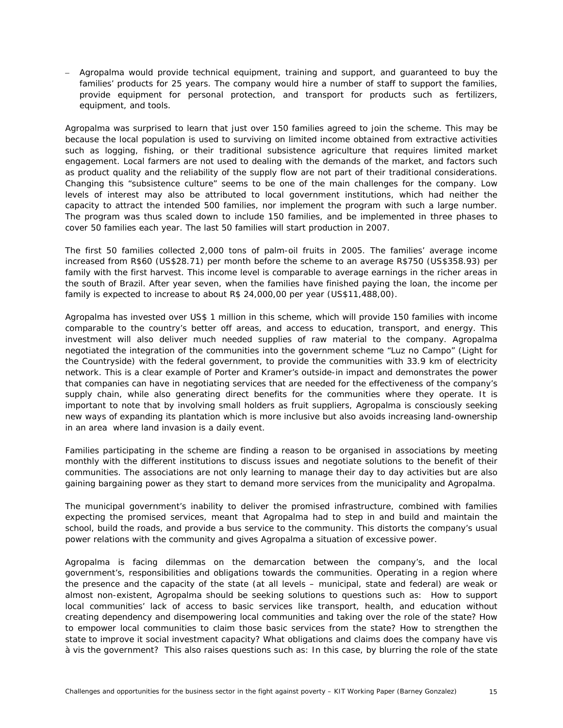– Agropalma would provide technical equipment, training and support, and guaranteed to buy the families' products for 25 years. The company would hire a number of staff to support the families, provide equipment for personal protection, and transport for products such as fertilizers, equipment, and tools.

Agropalma was surprised to learn that just over 150 families agreed to join the scheme. This may be because the local population is used to surviving on limited income obtained from extractive activities such as logging, fishing, or their traditional subsistence agriculture that requires limited market engagement. Local farmers are not used to dealing with the demands of the market, and factors such as product quality and the reliability of the supply flow are not part of their traditional considerations. Changing this "subsistence culture" seems to be one of the main challenges for the company. Low levels of interest may also be attributed to local government institutions, which had neither the capacity to attract the intended 500 families, nor implement the program with such a large number. The program was thus scaled down to include 150 families, and be implemented in three phases to cover 50 families each year. The last 50 families will start production in 2007.

The first 50 families collected 2,000 tons of palm-oil fruits in 2005. The families' average income increased from R\$60 (US\$28.71) per month before the scheme to an average R\$750 (US\$358.93) per family with the first harvest. This income level is comparable to average earnings in the richer areas in the south of Brazil. After year seven, when the families have finished paying the loan, the income per family is expected to increase to about R\$ 24,000,00 per year (US\$11,488,00).

Agropalma has invested over US\$ 1 million in this scheme, which will provide 150 families with income comparable to the country's better off areas, and access to education, transport, and energy. This investment will also deliver much needed supplies of raw material to the company. Agropalma negotiated the integration of the communities into the government scheme "Luz no Campo" (Light for the Countryside) with the federal government, to provide the communities with 33.9 km of electricity network. This is a clear example of Porter and Kramer's *outside-in impact* and demonstrates the power that companies can have in negotiating services that are needed for the effectiveness of the company's supply chain, while also generating direct benefits for the communities where they operate. It is important to note that by involving small holders as fruit suppliers, Agropalma is consciously seeking new ways of expanding its plantation which is more inclusive but also avoids increasing land-ownership in an area where land invasion is a daily event.

Families participating in the scheme are finding a reason to be organised in associations by meeting monthly with the different institutions to discuss issues and negotiate solutions to the benefit of their communities. The associations are not only learning to manage their day to day activities but are also gaining bargaining power as they start to demand more services from the municipality and Agropalma.

The municipal government's inability to deliver the promised infrastructure, combined with families expecting the promised services, meant that Agropalma had to step in and build and maintain the school, build the roads, and provide a bus service to the community. This distorts the company's usual power relations with the community and gives Agropalma a situation of excessive power.

Agropalma is facing dilemmas on the demarcation between the company's, and the local government's, responsibilities and obligations towards the communities. Operating in a region where the presence and the capacity of the state (at all levels – municipal, state and federal) are weak or almost non-existent, Agropalma should be seeking solutions to questions such as: How to support local communities' lack of access to basic services like transport, health, and education without creating dependency and disempowering local communities and taking over the role of the state? How to empower local communities to claim those basic services from the state? How to strengthen the state to improve it social investment capacity? What obligations and claims does the company have *vis à vis* the government? This also raises questions such as: In this case, by blurring the role of the state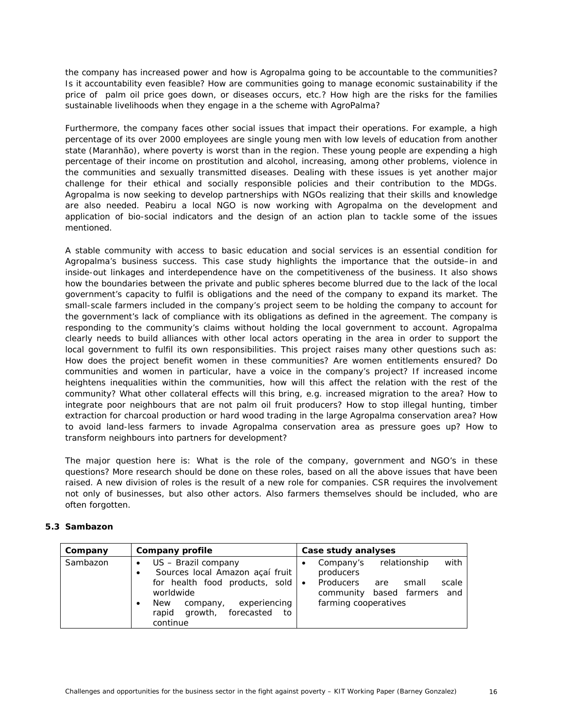<span id="page-21-0"></span>the company has increased power and how is Agropalma going to be accountable to the communities? Is it accountability even feasible? How are communities going to manage economic sustainability if the price of palm oil price goes down, or diseases occurs, etc.? How high are the risks for the families sustainable livelihoods when they engage in a the scheme with AgroPalma?

Furthermore, the company faces other social issues that impact their operations. For example, a high percentage of its over 2000 employees are single young men with low levels of education from another state (Maranhão), where poverty is worst than in the region. These young people are expending a high percentage of their income on prostitution and alcohol, increasing, among other problems, violence in the communities and sexually transmitted diseases. Dealing with these issues is yet another major challenge for their ethical and socially responsible policies and their contribution to the MDGs. Agropalma is now seeking to develop partnerships with NGOs realizing that their skills and knowledge are also needed. Peabiru a local NGO is now working with Agropalma on the development and application of bio-social indicators and the design of an action plan to tackle some of the issues mentioned.

A stable community with access to basic education and social services is an essential condition for Agropalma's business success. This case study highlights the importance that the outside–in and inside-out linkages and interdependence have on the competitiveness of the business. It also shows how the boundaries between the private and public spheres become blurred due to the lack of the local government's capacity to fulfil is obligations and the need of the company to expand its market. The small-scale farmers included in the company's project seem to be holding the company to account for the government's lack of compliance with its obligations as defined in the agreement. The company is responding to the community's claims without holding the local government to account. Agropalma clearly needs to build alliances with other local actors operating in the area in order to support the local government to fulfil its own responsibilities. This project raises many other questions such as: *How does the project benefit women in these communities? Are women entitlements ensured? Do communities and women in particular, have a voice in the company's project? If increased income heightens inequalities within the communities, how will this affect the relation with the rest of the community? What other collateral effects will this bring, e.g. increased migration to the area? How to integrate poor neighbours that are not palm oil fruit producers? How to stop illegal hunting, timber extraction for charcoal production or hard wood trading in the large Agropalma conservation area? How to avoid land-less farmers to invade Agropalma conservation area as pressure goes up? How to transform neighbours into partners for development?* 

The major question here is: What is the role of the company, government and NGO's in these questions? More research should be done on these roles, based on all the above issues that have been raised. A new division of roles is the result of a new role for companies. CSR requires the involvement not only of businesses, but also other actors. Also farmers themselves should be included, who are often forgotten.

## **5.3 Sambazon**

| Company  | Company profile                                                                                                                                                                                          | Case study analyses                                                                                                                            |
|----------|----------------------------------------------------------------------------------------------------------------------------------------------------------------------------------------------------------|------------------------------------------------------------------------------------------------------------------------------------------------|
| Sambazon | US - Brazil company<br>$\bullet$<br>Sources local Amazon açaí fruit<br>for health food products, sold $\bullet$<br>worldwide<br>experiencing<br><b>New</b><br>company,<br>rapid growth, forecasted<br>to | with<br>relationship<br>Company's<br>producers<br>Producers<br>scale<br>small<br>are<br>based farmers and<br>community<br>farming cooperatives |
|          | continue                                                                                                                                                                                                 |                                                                                                                                                |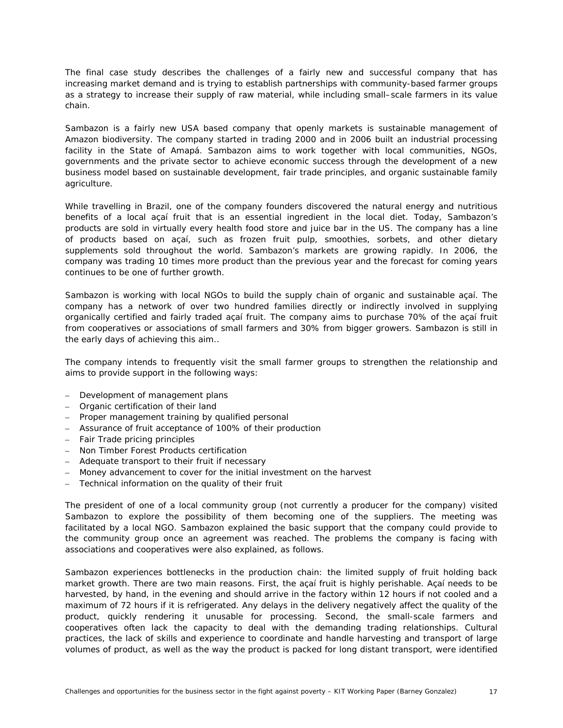The final case study describes the challenges of a fairly new and successful company that has increasing market demand and is trying to establish partnerships with community-based farmer groups as a strategy to increase their supply of raw material, while including small–scale farmers in its value chain.

Sambazon is a fairly new USA based company that openly markets is sustainable management of Amazon biodiversity. The company started in trading 2000 and in 2006 built an industrial processing facility in the State of Amapá. Sambazon aims to work together with local communities, NGOs, governments and the private sector to achieve economic success through the development of a new business model based on sustainable development, fair trade principles, and organic sustainable family agriculture.

While travelling in Brazil, one of the company founders discovered the natural energy and nutritious benefits of a local açaí fruit that is an essential ingredient in the local diet. Today, Sambazon's products are sold in virtually every health food store and juice bar in the US. The company has a line of products based on açaí, such as frozen fruit pulp, smoothies, sorbets, and other dietary supplements sold throughout the world. Sambazon's markets are growing rapidly. In 2006, the company was trading 10 times more product than the previous year and the forecast for coming years continues to be one of further growth.

Sambazon is working with local NGOs to build the supply chain of organic and sustainable açaí. The company has a network of over two hundred families directly or indirectly involved in supplying organically certified and fairly traded açaí fruit. The company aims to purchase 70% of the açaí fruit from cooperatives or associations of small farmers and 30% from bigger growers. Sambazon is still in the early days of achieving this aim..

The company intends to frequently visit the small farmer groups to strengthen the relationship and aims to provide support in the following ways:

- Development of management plans
- Organic certification of their land
- Proper management training by qualified personal
- Assurance of fruit acceptance of 100% of their production
- Fair Trade pricing principles
- Non Timber Forest Products certification
- Adequate transport to their fruit if necessary
- Money advancement to cover for the initial investment on the harvest
- Technical information on the quality of their fruit

The president of one of a local community group (not currently a producer for the company) visited Sambazon to explore the possibility of them becoming one of the suppliers. The meeting was facilitated by a local NGO. Sambazon explained the basic support that the company could provide to the community group once an agreement was reached. The problems the company is facing with associations and cooperatives were also explained, as follows.

Sambazon experiences bottlenecks in the production chain: the limited supply of fruit holding back market growth. There are two main reasons. First, the açaí fruit is highly perishable. Açaí needs to be harvested, by hand, in the evening and should arrive in the factory within 12 hours if not cooled and a maximum of 72 hours if it is refrigerated. Any delays in the delivery negatively affect the quality of the product, quickly rendering it unusable for processing. Second, the small-scale farmers and cooperatives often lack the capacity to deal with the demanding trading relationships. Cultural practices, the lack of skills and experience to coordinate and handle harvesting and transport of large volumes of product, as well as the way the product is packed for long distant transport, were identified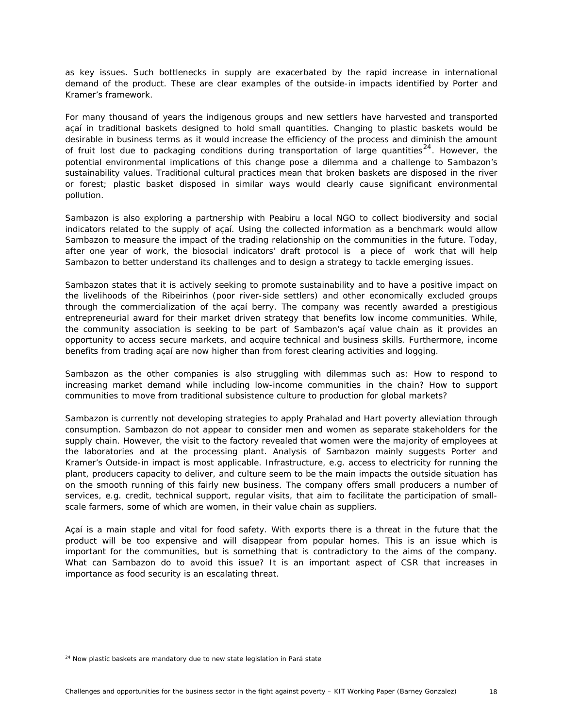<span id="page-23-0"></span>as key issues. Such bottlenecks in supply are exacerbated by the rapid increase in international demand of the product. These are clear examples of the outside-in impacts identified by Porter and Kramer's framework.

For many thousand of years the indigenous groups and new settlers have harvested and transported açaí in traditional baskets designed to hold small quantities. Changing to plastic baskets would be desirable in business terms as it would increase the efficiency of the process and diminish the amount of fruit lost due to packaging conditions during transportation of large quantities<sup>[24](#page-23-0)</sup>. However, the potential environmental implications of this change pose a dilemma and a challenge to Sambazon's sustainability values. Traditional cultural practices mean that broken baskets are disposed in the river or forest; plastic basket disposed in similar ways would clearly cause significant environmental pollution.

Sambazon is also exploring a partnership with Peabiru a local NGO to collect biodiversity and social indicators related to the supply of açaí. Using the collected information as a benchmark would allow Sambazon to measure the impact of the trading relationship on the communities in the future. Today, after one year of work, the biosocial indicators' draft protocol is a piece of work that will help Sambazon to better understand its challenges and to design a strategy to tackle emerging issues.

Sambazon states that it is actively seeking to promote sustainability and to have a positive impact on the livelihoods of the Ribeirinhos (poor river-side settlers) and other economically excluded groups through the commercialization of the açaí berry. The company was recently awarded a prestigious entrepreneurial award for their market driven strategy that benefits low income communities. While, the community association is seeking to be part of Sambazon's açaí value chain as it provides an opportunity to access secure markets, and acquire technical and business skills. Furthermore, income benefits from trading açaí are now higher than from forest clearing activities and logging.

Sambazon as the other companies is also struggling with dilemmas such as: How to respond to increasing market demand while including low-income communities in the chain? How to support communities to move from traditional subsistence culture to production for global markets?

Sambazon is currently not developing strategies to apply Prahalad and Hart poverty alleviation through consumption. Sambazon do not appear to consider men and women as separate stakeholders for the supply chain. However, the visit to the factory revealed that women were the majority of employees at the laboratories and at the processing plant. Analysis of Sambazon mainly suggests Porter and Kramer's Outside-in impact is most applicable. Infrastructure, e.g. access to electricity for running the plant, producers capacity to deliver, and culture seem to be the main impacts the outside situation has on the smooth running of this fairly new business. The company offers small producers a number of services, e.g. credit, technical support, regular visits, that aim to facilitate the participation of smallscale farmers, some of which are women, in their value chain as suppliers.

Açaí is a main staple and vital for food safety. With exports there is a threat in the future that the product will be too expensive and will disappear from popular homes. This is an issue which is important for the communities, but is something that is contradictory to the aims of the company. What can Sambazon do to avoid this issue? It is an important aspect of CSR that increases in importance as food security is an escalating threat.

 $24$  Now plastic baskets are mandatory due to new state legislation in Pará state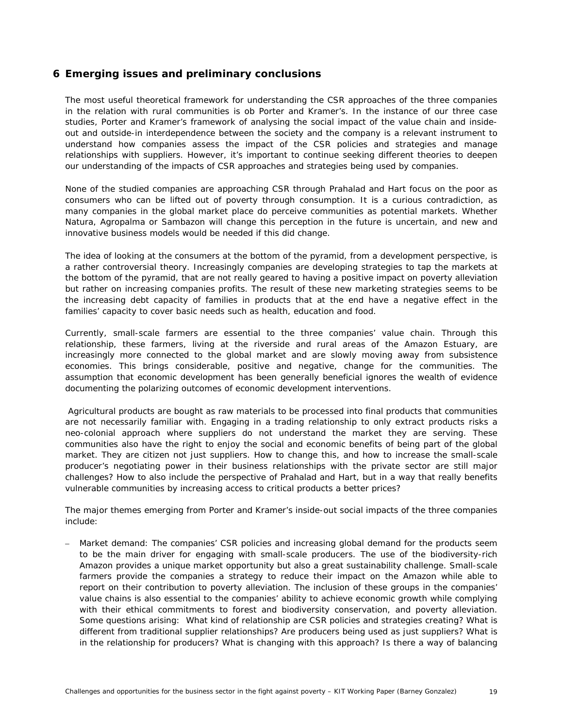# <span id="page-24-0"></span>**6 Emerging issues and preliminary conclusions**

The most useful theoretical framework for understanding the CSR approaches of the three companies in the relation with rural communities is ob Porter and Kramer's. In the instance of our three case studies, Porter and Kramer's framework of analysing the social impact of the value chain and insideout and outside-in interdependence between the society and the company is a relevant instrument to understand how companies assess the impact of the CSR policies and strategies and manage relationships with suppliers. However, it's important to continue seeking different theories to deepen our understanding of the impacts of CSR approaches and strategies being used by companies.

None of the studied companies are approaching CSR through Prahalad and Hart focus on the poor as consumers who can be lifted out of poverty through consumption. It is a curious contradiction, as many companies in the global market place *do* perceive communities as potential markets. Whether Natura, Agropalma or Sambazon will change this perception in the future is uncertain, and new and innovative business models would be needed if this did change.

The idea of looking at the consumers at the bottom of the pyramid, from a development perspective, is a rather controversial theory. Increasingly companies are developing strategies to tap the markets at the bottom of the pyramid, that are not really geared to having a positive impact on poverty alleviation but rather on increasing companies profits. The result of these new marketing strategies seems to be the increasing debt capacity of families in products that at the end have a negative effect in the families' capacity to cover basic needs such as health, education and food.

Currently, small-scale farmers are essential to the three companies' value chain. Through this relationship, these farmers, living at the riverside and rural areas of the Amazon Estuary, are increasingly more connected to the global market and are slowly moving away from subsistence economies. This brings considerable, positive and negative, change for the communities. The assumption that economic development has been generally beneficial ignores the wealth of evidence documenting the polarizing outcomes of economic development interventions.

 Agricultural products are bought as raw materials to be processed into final products that communities are not necessarily familiar with. Engaging in a trading relationship to only extract products risks a neo-colonial approach where suppliers do not understand the market they are serving. These communities also have the right to enjoy the social and economic benefits of being part of the global market. They are citizen not just suppliers. How to change this, and how to increase the small-scale producer's negotiating power in their business relationships with the private sector are still major challenges? How to also include the perspective of Prahalad and Hart, but in a way that really benefits vulnerable communities by increasing access to critical products a better prices?

The major themes emerging from Porter and Kramer's inside-out social impacts of the three companies include:

– *Market demand*: The companies' CSR policies and increasing global demand for the products seem to be the main driver for engaging with small-scale producers. The use of the biodiversity-rich Amazon provides a unique market opportunity but also a great sustainability challenge. Small-scale farmers provide the companies a strategy to reduce their impact on the Amazon while able to report on their contribution to poverty alleviation. The inclusion of these groups in the companies' value chains is also essential to the companies' ability to achieve economic growth while complying with their ethical commitments to forest and biodiversity conservation, and poverty alleviation. Some questions arising: *What kind of relationship are CSR policies and strategies creating? What is different from traditional supplier relationships? Are producers being used as just suppliers? What is in the relationship for producers? What is changing with this approach? Is there a way of balancing*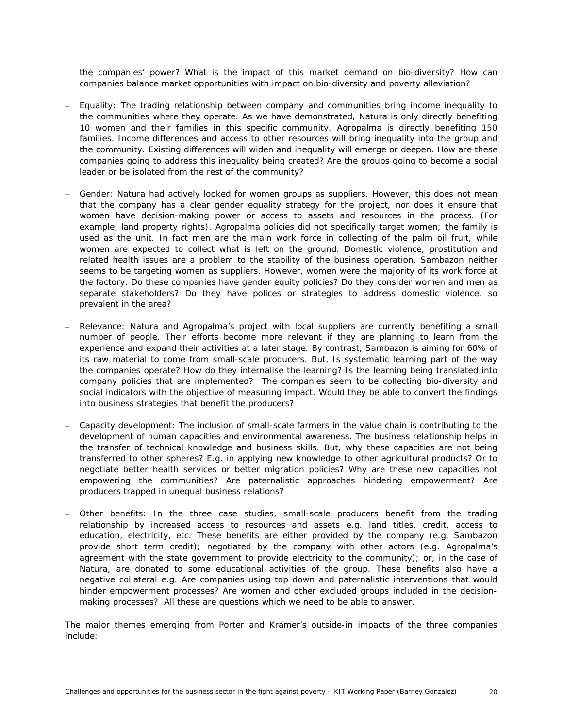*the companies' power? What is the impact of this market demand on bio-diversity? How can companies balance market opportunities with impact on bio-diversity and poverty alleviation?* 

- *Equality:* The trading relationship between company and communities bring income inequality to the communities where they operate. As we have demonstrated, Natura is only directly benefiting 10 women and their families in this specific community. Agropalma is directly benefiting 150 families. Income differences and access to other resources will bring inequality into the group and the community. Existing differences will widen and inequality will emerge or deepen. *How are these companies going to address this inequality being created? Are the groups going to become a social leader or be isolated from the rest of the community?*
- *Gender:* Natura had actively looked for women groups as suppliers. However, this does not mean that the company has a clear gender equality strategy for the project, nor does it ensure that women have decision-making power or access to assets and resources in the process. (For example, land property rights). Agropalma policies did not specifically target women; the family is used as the unit. In fact men are the main work force in collecting of the palm oil fruit, while women are expected to collect what is left on the ground. Domestic violence, prostitution and related health issues are a problem to the stability of the business operation. Sambazon neither seems to be targeting women as suppliers. However, women were the majority of its work force at the factory. *Do these companies have gender equity policies? Do they consider women and men as separate stakeholders? Do they have polices or strategies to address domestic violence, so prevalent in the area?*
- *Relevance:* Natura and Agropalma's project with local suppliers are currently benefiting a small number of people. Their efforts become more relevant if they are planning to learn from the experience and expand their activities at a later stage. By contrast, Sambazon is aiming for 60% of its raw material to come from small-scale producers. But, *Is systematic learning part of the way the companies operate? How do they internalise the learning? Is the learning being translated into company policies that are implemented?* The companies seem to be collecting bio-diversity and social indicators with the objective of measuring impact. *Would they be able to convert the findings into business strategies that benefit the producers?*
- *Capacity development*: The inclusion of small-scale farmers in the value chain is contributing to the development of human capacities and environmental awareness. The business relationship helps in the transfer of technical knowledge and business skills. But, *why these capacities are not being transferred to other spheres? E.g. in applying new knowledge to other agricultural products? Or to negotiate better health services or better migration policies? Why are these new capacities not empowering the communities? Are paternalistic approaches hindering empowerment? Are producers trapped in unequal business relations?*
- *Other benefits*: In the three case studies, small-scale producers benefit from the trading relationship by increased access to resources and assets e.g. land titles, credit, access to education, electricity, etc. These benefits are either provided by the company (e.g. Sambazon provide short term credit); negotiated by the company with other actors (e.g. Agropalma's agreement with the state government to provide electricity to the community); or, in the case of Natura, are donated to some educational activities of the group. These benefits also have a negative collateral e.g. *Are companies using top down and paternalistic interventions that would hinder empowerment processes? Are women and other excluded groups included in the decisionmaking processes? All these are questions which we need to be able to answer.*

The major themes emerging from Porter and Kramer's outside-in impacts of the three companies include: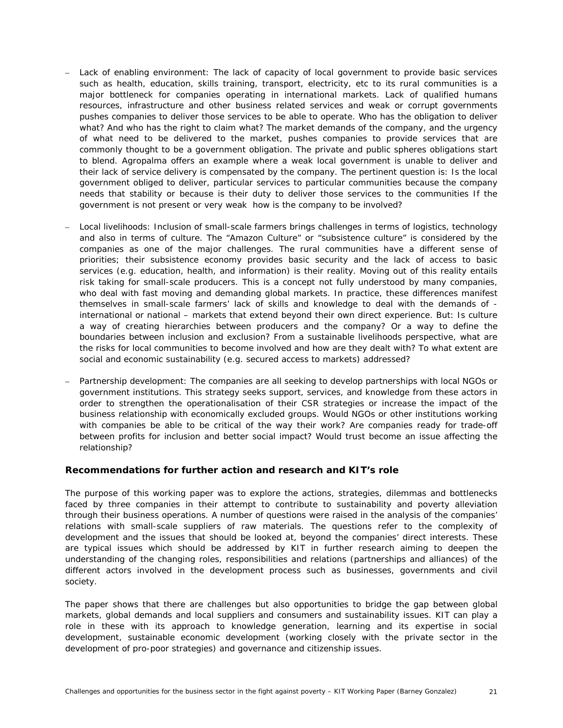- *Lack of enabling environment:* The lack of capacity of local government to provide basic services such as health, education, skills training, transport, electricity, etc to its rural communities is a major bottleneck for companies operating in international markets. Lack of qualified humans resources, infrastructure and other business related services and weak or corrupt governments pushes companies to deliver those services to be able to operate. *Who has the obligation to deliver what? And who has the right to claim what?* The market demands of the company, and the urgency of what need to be delivered to the market, pushes companies to provide services that are commonly thought to be a government obligation. The private and public spheres obligations start to blend. Agropalma offers an example where a weak local government is unable to deliver and their lack of service delivery is compensated by the company. The pertinent question is: *Is the local government obliged to deliver, particular services to particular communities because the company needs that stability or because is their duty to deliver those services to the communities If the government is not present or very weak how is the company to be involved?*
- *Local livelihoods:* Inclusion of small-scale farmers brings challenges in terms of logistics, technology and also in terms of culture. The "Amazon Culture" or "subsistence culture" is considered by the companies as one of the major challenges. The rural communities have a different sense of priorities; their subsistence economy provides basic security and the lack of access to basic services (e.g. education, health, and information) is their reality. Moving out of this reality entails risk taking for small-scale producers. This is a concept not fully understood by many companies, who deal with fast moving and demanding global markets. In practice, these differences manifest themselves in small-scale farmers' lack of skills and knowledge to deal with the demands of international or national – markets that extend beyond their own direct experience. But: *Is culture*  a way of creating hierarchies between producers and the company? Or a way to define the *boundaries between inclusion and exclusion? From a sustainable livelihoods perspective, what are the risks for local communities to become involved and how are they dealt with? To what extent are social and economic sustainability (e.g. secured access to markets) addressed?*
- *Partnership development*: The companies are all seeking to develop partnerships with local NGOs or government institutions. This strategy seeks support, services, and knowledge from these actors in order to strengthen the operationalisation of their CSR strategies or increase the impact of the business relationship with economically excluded groups. *Would NGOs or other institutions working*  with companies be able to be critical of the way their work? Are companies ready for trade-off *between profits for inclusion and better social impact? Would trust become an issue affecting the relationship?*

## **Recommendations for further action and research and KIT's role**

The purpose of this working paper was to explore the actions, strategies, dilemmas and bottlenecks faced by three companies in their attempt to contribute to sustainability and poverty alleviation through their business operations. A number of questions were raised in the analysis of the companies' relations with small-scale suppliers of raw materials. The questions refer to the complexity of development and the issues that should be looked at, beyond the companies' direct interests. These are typical issues which should be addressed by KIT in further research aiming to deepen the understanding of the changing roles, responsibilities and relations (partnerships and alliances) of the different actors involved in the development process such as businesses, governments and civil society.

The paper shows that there are challenges but also opportunities to bridge the gap between global markets, global demands and local suppliers and consumers and sustainability issues. KIT can play a role in these with its approach to knowledge generation, learning and its expertise in social development, sustainable economic development (working closely with the private sector in the development of pro-poor strategies) and governance and citizenship issues.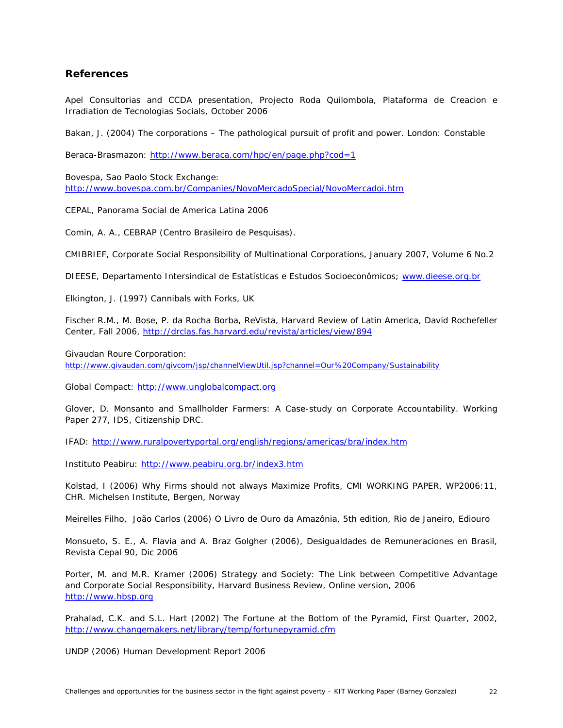## <span id="page-27-0"></span>**References**

Apel Consultorias and CCDA presentation, *Projecto Roda Quilombola, Plataforma de Creacion e Irradiation de Tecnologias Socials, October 2006*

Bakan, J. (2004) *The corporations – The pathological pursuit of profit and power.* London: Constable

Beraca-Brasmazon:<http://www.beraca.com/hpc/en/page.php?cod=1>

Bovespa, Sao Paolo Stock Exchange: <http://www.bovespa.com.br/Companies/NovoMercadoSpecial/NovoMercadoi.htm>

CEPAL, *Panorama Social de America Latina 2006*

Comin, A. A., CEBRAP (Centro Brasileiro de Pesquisas).

CMIBRIEF, *Corporate Social Responsibility of Multinational Corporations*, January 2007, Volume 6 No.2

DIEESE, Departamento Intersindical de Estatísticas e Estudos Socioeconômicos; [www.dieese.org.br](http://www.dieese.org.br/)

Elkington, J. (1997) *Cannibals with Forks*, UK

Fischer R.M., M. Bose, P. da Rocha Borba, ReVista, Harvard Review of Latin America, David Rochefeller Center, Fall 2006,<http://drclas.fas.harvard.edu/revista/articles/view/894>

Givaudan Roure Corporation:

<http://www.givaudan.com/givcom/jsp/channelViewUtil.jsp?channel=Our%20Company/Sustainability>

Global Compact: [http://www.unglobalcompact.org](http://www.unglobalcompact.org/)

Glover, D. *Monsanto and Smallholder Farmers: A Case-study on Corporate Accountability.* Working Paper 277, IDS, Citizenship DRC.

IFAD:<http://www.ruralpovertyportal.org/english/regions/americas/bra/index.htm>

Instituto Peabiru: <http://www.peabiru.org.br/index3.htm>

Kolstad, I (2006) Why *Firms should not always Maximize Profits*, CMI WORKING PAPER, WP2006:11, CHR. Michelsen Institute, Bergen, Norway

Meirelles Filho, João Carlos (2006) *O Livro de Ouro da Amazônia*, 5th edition, Rio de Janeiro, Ediouro

Monsueto, S. E., A. Flavia and A. Braz Golgher (2006), *Desigualdades de Remuneraciones en Brasil,* Revista Cepal 90, Dic 2006

Porter, M. and M.R. Kramer (2006) *Strategy and Society*: *The Link between Competitive Advantage and Corporate Social Responsibility,* Harvard Business Review, Online version, 2006 [http://www.hbsp.org](http://www.hbsp.org/) 

Prahalad, C.K. and S.L. Hart (2002) *The Fortune at the Bottom of the Pyramid,* First Quarter, 2002, <http://www.changemakers.net/library/temp/fortunepyramid.cfm>

UNDP (2006) Human Development Report 2006